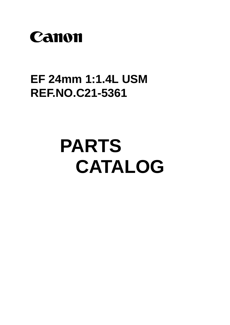

# **EF 24mm 1:1.4L USM REF.NO.C21-5361**

# **PARTS CATALOG**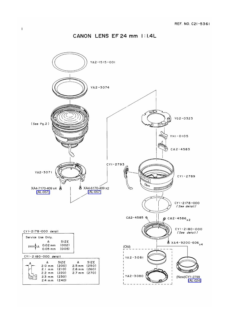#### CANON LENS EF 24 mm 1:1.4L

 $\overline{\phantom{a}}$ 

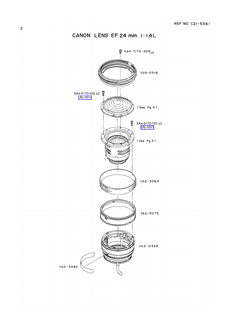CANON LENS EF 24 mm 1:1.4L

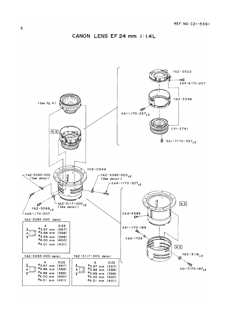

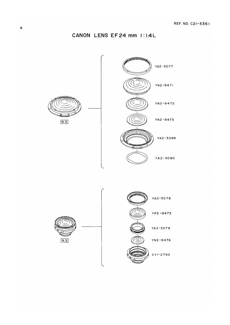CANON LENS EF24 mm I:I.4L

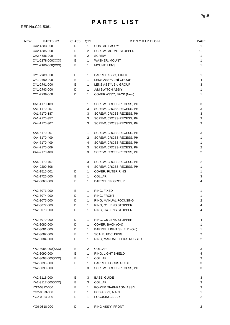## **P A R T S L I S T**

REF.No.C21-5361

| <b>NEW</b> | PARTS NO.         | <b>CLASS</b> | QTY          | <b>DESCRIPTION</b>          | PAGE                      |
|------------|-------------------|--------------|--------------|-----------------------------|---------------------------|
|            | CA2-4583-000      | D            | 1            | <b>CONTACT ASS'Y</b>        | 1                         |
|            | CA2-4585-000      | Ε            | 2            | <b>SCREW, MOUNT STOPPER</b> | 1,3                       |
|            | CA2-4586-000      | E            | 2            | <b>SCREW</b>                | 1                         |
|            | CY1-2178-000(XXX) | Е            | $\mathbf{1}$ | WASHER, MOUNT               | 1                         |
|            | CY1-2180-000(XXX) | Е            | 1            | MOUNT, LENS                 | 1                         |
|            | CY1-2789-000      | D            | 1            | BARREL ASS'Y, FIXED         | 1                         |
|            | CY1-2790-000      | Ε            | 1            | LENS ASS'Y, 2nd GROUP       | 4                         |
|            | CY1-2791-000      | E            | 1            | LENS ASS'Y, 3rd GROUP       | 3                         |
|            | CY1-2793-000      | D            | 1            | A/M SWITCH ASS'Y            | 1                         |
|            | CY1-2799-000      | D            | 1            | COVER ASS'Y, BACK (New)     | 1                         |
|            | XA1-1170-189      |              | 1            | SCREW, CROSS-RECESS, PH     | 3                         |
|            | XA1-1170-257      |              | 3            | SCREW, CROSS-RECESS, PH     | $\ensuremath{\mathsf{3}}$ |
|            | XA1-7170-187      |              | 3            | SCREW, CROSS-RECESS, PH     | 3                         |
|            | XA1-7170-357      |              | 3            | SCREW, CROSS-RECESS, PH     | 3                         |
|            | XA4-1170-307      |              | 3            | SCREW, CROSS-RECESS, PH     | 3                         |
|            | XA4-6170-207      |              | 1            | SCREW, CROSS-RECESS, PH     | 3                         |
|            | XA4-6170-409      |              | 2            | SCREW, CROSS-RECESS, PH     | 1                         |
|            | XA4-7170-409      |              | 4            | SCREW, CROSS-RECESS, PH     | 1                         |
|            | XA4-7170-609      |              | 3            | SCREW, CROSS-RECESS, PH     | $\overline{c}$            |
|            | XA4-9170-409      |              | 3            | SCREW, CROSS-RECESS, PH     | 2                         |
|            | XA4-9170-707      |              | 3            | SCREW, CROSS-RECESS, PH     | $\overline{c}$            |
|            | XA4-9200-606      |              | 4            | SCREW, CROSS-RECESS, PH     | 1                         |
|            | YA2-1515-001      | D            | 1            | COVER, FILTER RING          | 1                         |
|            | YA2-1726-000      | Е            | 1            | <b>COLLAR</b>               | 3                         |
|            | YA2-3068-000      | Е            | 1            | BARREL, 1st GROUP           | 4                         |
|            | YA2-3071-000      | Е            | 1            | RING, FIXED                 | 1                         |
|            | YA2-3074-000      | D            | 1            | RING, FRONT                 | 1                         |
|            | YA2-3075-000      | D            | 1            | RING, MANUAL FOCUSING       | $\overline{c}$            |
|            | YA2-3077-000      | D            | 1            | RING, G1 LENS STOPPER       | 4                         |
|            | YA2-3078-000      | D            | 1.           | RING, G4 LENS STOPPER       | 4                         |
|            | YA2-3079-000      | D            | 1            | RING, G6 LENS STOPPER       | 4                         |
|            | YA2-3080-000      | D            | $\mathbf{1}$ | COVER, BACK (Old)           | 1                         |
|            | YA2-3081-000      | D            | 1            | BARREL, LIGHT SHIELD (Old)  | 1                         |
|            | YA2-3082-000      | E            | 1            | SCALE, FOCUSING             | $\overline{2}$            |
|            | YA2-3084-000      | D            | 1            | RING, MANUAL FOCUS RUBBER   | 2                         |
|            | YA2-3085-000(XXX) | Е            | 2            | <b>COLLAR</b>               | 3                         |
|            | YA2-3090-000      | E            | 1            | RING, LIGHT SHIELD          | 4                         |
|            | YA2-3093-000(XXX) | E            | 1            | <b>COLLAR</b>               | 3                         |
|            | YA2-3096-000      | Е            | 1            | <b>BARREL, FOCUS GUIDE</b>  | 3                         |
|            | YA2-3098-000      | F            | 3            | SCREW, CROSS-RECESS, PH     | 3                         |
|            | YA2-3116-000      | Е            | 3            | BASE, GUIDE                 | 3                         |
|            | YA2-3117-000(XXX) | E            | 3            | <b>COLLAR</b>               | 3                         |
|            | YG2-0322-000      | E            | 1            | POWER DIAPHRAGM ASS'Y       | 3                         |
|            | YG2-0323-000      | E            | 1            | PCB ASS'Y, MAIN             | 1                         |
|            | YG2-0324-000      | E            | 1            | <b>FOCUSING ASS'Y</b>       | 2                         |
|            | YG9-0518-000      | D            | 1            | RING ASS'Y, FRONT           | 2                         |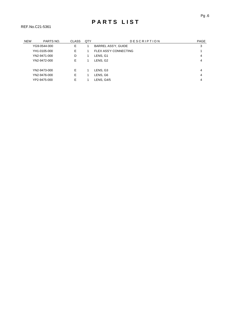| <b>NEW</b> | PARTS NO.    | <b>CLASS</b> | QTY | <b>DESCRIPTION</b>         | <b>PAGE</b> |
|------------|--------------|--------------|-----|----------------------------|-------------|
|            | YG9-0544-000 | Е            |     | <b>BARREL ASS'Y, GUIDE</b> | 3           |
|            | YH1-0105-000 | Е            |     | FLEX ASS'Y CONNECTING      |             |
|            | YN2-9471-000 | D            |     | LENS, G1                   | 4           |
|            | YN2-9472-000 | E            |     | LENS, G2                   | 4           |
|            |              |              |     |                            |             |
|            | YN2-9473-000 | E            |     | LENS, G3                   | 4           |
|            | YN2-9476-000 | Е            |     | LENS, G6                   | 4           |
|            | YP2-9475-000 | E            |     | LENS, G4/5                 | 4           |